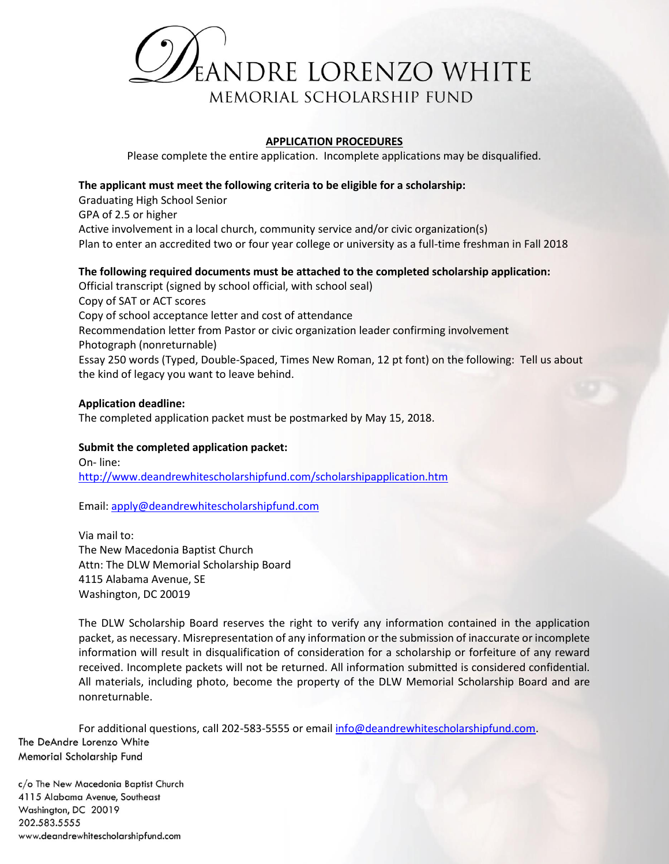

# **APPLICATION PROCEDURES**

Please complete the entire application. Incomplete applications may be disqualified.

# **The applicant must meet the following criteria to be eligible for a scholarship:**

Graduating High School Senior

GPA of 2.5 or higher

Active involvement in a local church, community service and/or civic organization(s) Plan to enter an accredited two or four year college or university as a full-time freshman in Fall 2018

# **The following required documents must be attached to the completed scholarship application:**

Official transcript (signed by school official, with school seal) Copy of SAT or ACT scores Copy of school acceptance letter and cost of attendance Recommendation letter from Pastor or civic organization leader confirming involvement Photograph (nonreturnable) Essay 250 words (Typed, Double-Spaced, Times New Roman, 12 pt font) on the following: Tell us about the kind of legacy you want to leave behind.

# **Application deadline:**

The completed application packet must be postmarked by May 15, 2018.

# **Submit the completed application packet:**

On- line: http://www.deandrewhitescholarshipfund.com/scholarshipapplication.htm

Email: apply@deandrewhitescholarshipfund.com

Via mail to: The New Macedonia Baptist Church Attn: The DLW Memorial Scholarship Board 4115 Alabama Avenue, SE Washington, DC 20019

The DLW Scholarship Board reserves the right to verify any information contained in the application packet, as necessary. Misrepresentation of any information or the submission of inaccurate or incomplete information will result in disqualification of consideration for a scholarship or forfeiture of any reward received. Incomplete packets will not be returned. All information submitted is considered confidential. All materials, including photo, become the property of the DLW Memorial Scholarship Board and are nonreturnable.

For additional questions, call 202-583-5555 or email info@deandrewhitescholarshipfund.com. The DeAndre Lorenzo White Memorial Scholarship Fund

c/o The New Macedonia Baptist Church 4115 Alabama Avenue, Southeast Washington, DC 20019 202.583.5555 www.deandrewhitescholarshipfund.com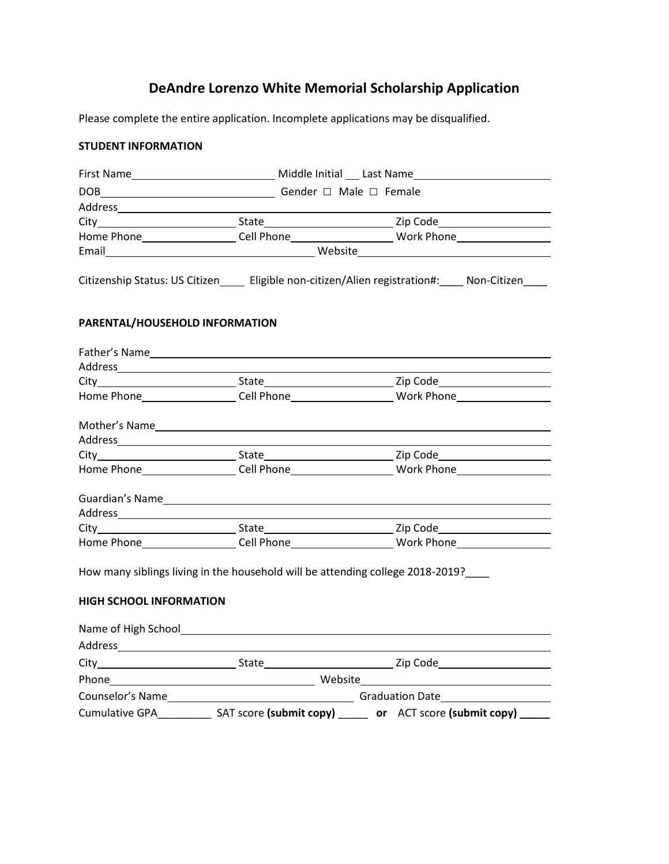# **DeAndre Lorenzo White Memorial Scholarship Application**

Please complete the entire application. Incomplete applications may be disqualified.

# **STUDENT INFORMATION**

|                                                                                   |                                                                                                                | Home Phone___________________Cell Phone________________________Work Phone___________________________ |
|-----------------------------------------------------------------------------------|----------------------------------------------------------------------------------------------------------------|------------------------------------------------------------------------------------------------------|
|                                                                                   | Email Mebsite Mebsite Memorant Communication of the UK of the Mebsite Mebsite Communication of the UK of the U |                                                                                                      |
|                                                                                   | Citizenship Status: US Citizen ______ Eligible non-citizen/Alien registration#: _____ Non-Citizen              |                                                                                                      |
| PARENTAL/HOUSEHOLD INFORMATION                                                    |                                                                                                                |                                                                                                      |
|                                                                                   |                                                                                                                |                                                                                                      |
|                                                                                   |                                                                                                                |                                                                                                      |
|                                                                                   |                                                                                                                |                                                                                                      |
|                                                                                   |                                                                                                                | Home Phone___________________Cell Phone_________________________Work Phone__________________________ |
|                                                                                   |                                                                                                                |                                                                                                      |
|                                                                                   |                                                                                                                |                                                                                                      |
|                                                                                   |                                                                                                                |                                                                                                      |
|                                                                                   |                                                                                                                | Home Phone___________________Cell Phone_________________________Work Phone__________________________ |
|                                                                                   |                                                                                                                |                                                                                                      |
|                                                                                   |                                                                                                                |                                                                                                      |
|                                                                                   |                                                                                                                |                                                                                                      |
|                                                                                   |                                                                                                                | Home Phone____________________Cell Phone_________________________Work Phone_________________________ |
| How many siblings living in the household will be attending college 2018-2019?___ |                                                                                                                |                                                                                                      |
| <b>HIGH SCHOOL INFORMATION</b>                                                    |                                                                                                                |                                                                                                      |
|                                                                                   |                                                                                                                |                                                                                                      |
|                                                                                   |                                                                                                                |                                                                                                      |
|                                                                                   |                                                                                                                |                                                                                                      |
|                                                                                   |                                                                                                                |                                                                                                      |
|                                                                                   |                                                                                                                |                                                                                                      |
|                                                                                   |                                                                                                                | Cumulative GPA________________ SAT score (submit copy) _______ or ACT score (submit copy) ______     |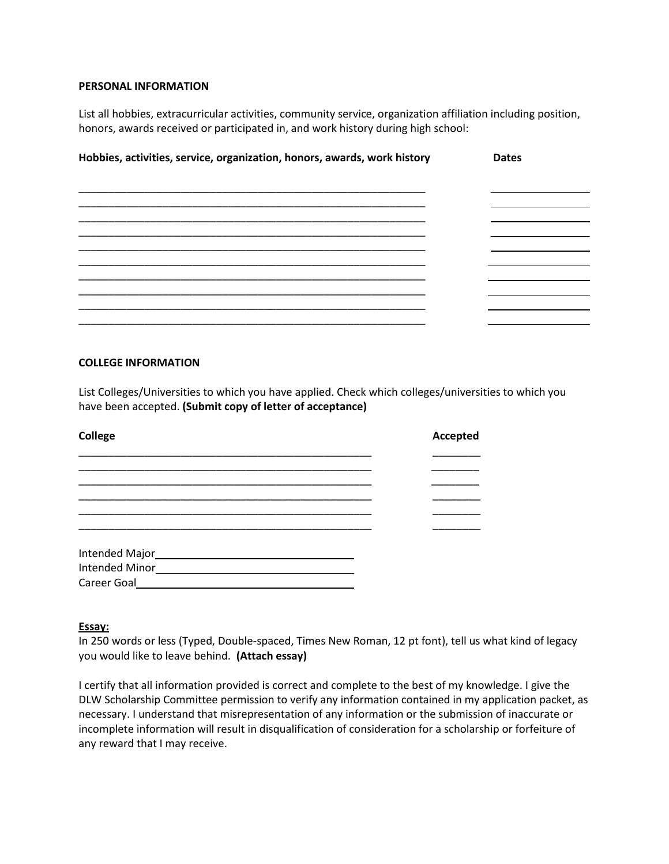## **PERSONAL INFORMATION**

List all hobbies, extracurricular activities, community service, organization affiliation including position, honors, awards received or participated in, and work history during high school:

| Hobbies, activities, service, organization, honors, awards, work history | <b>Dates</b> |
|--------------------------------------------------------------------------|--------------|
|                                                                          |              |
|                                                                          |              |
|                                                                          |              |
|                                                                          |              |
|                                                                          |              |
|                                                                          |              |

# **COLLEGE INFORMATION**

List Colleges/Universities to which you have applied. Check which colleges/universities to which you have been accepted. **(Submit copy of letter of acceptance)**

| <b>College</b>                      | Accepted |
|-------------------------------------|----------|
|                                     |          |
|                                     |          |
|                                     |          |
|                                     |          |
|                                     |          |
|                                     |          |
| Intended Major<br><u>Land Major</u> |          |
| <b>Intended Minor</b>               |          |
| Career Goal                         |          |

## **Essay:**

In 250 words or less (Typed, Double-spaced, Times New Roman, 12 pt font), tell us what kind of legacy you would like to leave behind. **(Attach essay)** 

I certify that all information provided is correct and complete to the best of my knowledge. I give the DLW Scholarship Committee permission to verify any information contained in my application packet, as necessary. I understand that misrepresentation of any information or the submission of inaccurate or incomplete information will result in disqualification of consideration for a scholarship or forfeiture of any reward that I may receive.